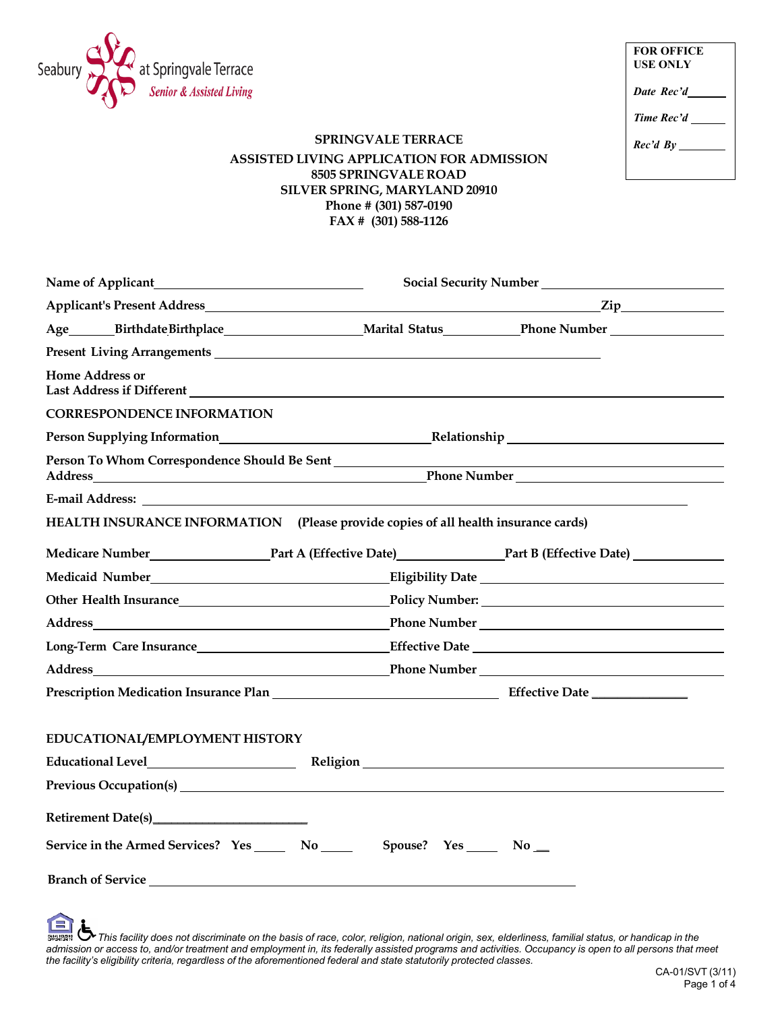

| <b>FOR OFFICE</b><br><b>USE ONLY</b> |  |
|--------------------------------------|--|
| Date Rec'd                           |  |
| Time Rec'd                           |  |
| Rec'd By                             |  |
|                                      |  |

## **SPRINGVALE TERRACE ASSISTED LIVING APPLICATION FOR ADMISSION 8505 SPRINGVALE ROAD SILVER SPRING, MARYLAND 20910 Phone # (301) 587-0190 FAX # (301) 588-1126**

| Name of Applicant                                                                                                                                                                                                                    | Social Security Number                                                                                                                                                                                      |
|--------------------------------------------------------------------------------------------------------------------------------------------------------------------------------------------------------------------------------------|-------------------------------------------------------------------------------------------------------------------------------------------------------------------------------------------------------------|
|                                                                                                                                                                                                                                      |                                                                                                                                                                                                             |
|                                                                                                                                                                                                                                      | Age_______BirthdateBirthplace_________________________Marital Status____________Phone Number _________________                                                                                              |
| Present Living Arrangements <b>Executive Service Service Service Service Service Service Service Service Service Service Service Service Service Service Service Service Service Service Service Service Service Service Service</b> |                                                                                                                                                                                                             |
| <b>Home Address or</b>                                                                                                                                                                                                               |                                                                                                                                                                                                             |
| <b>CORRESPONDENCE INFORMATION</b>                                                                                                                                                                                                    |                                                                                                                                                                                                             |
|                                                                                                                                                                                                                                      |                                                                                                                                                                                                             |
| Person To Whom Correspondence Should Be Sent<br>Address<br><u> 1989 - Johann Stoff, deutscher Stoffen und der Stoffen und der Stoffen und der Stoffen und der Stoffen und der</u>                                                    | <u> 1989 - Johann Barn, fransk politik (d. 1989)</u>                                                                                                                                                        |
|                                                                                                                                                                                                                                      |                                                                                                                                                                                                             |
| HEALTH INSURANCE INFORMATION (Please provide copies of all health insurance cards)                                                                                                                                                   |                                                                                                                                                                                                             |
|                                                                                                                                                                                                                                      | Medicare Number Part A (Effective Date) Part B (Effective Date)                                                                                                                                             |
| Medicaid Number<br><u>Medicaid Number</u>                                                                                                                                                                                            |                                                                                                                                                                                                             |
|                                                                                                                                                                                                                                      |                                                                                                                                                                                                             |
|                                                                                                                                                                                                                                      | <b>Phone Number</b>                                                                                                                                                                                         |
|                                                                                                                                                                                                                                      |                                                                                                                                                                                                             |
|                                                                                                                                                                                                                                      |                                                                                                                                                                                                             |
|                                                                                                                                                                                                                                      |                                                                                                                                                                                                             |
|                                                                                                                                                                                                                                      |                                                                                                                                                                                                             |
| EDUCATIONAL/EMPLOYMENT HISTORY                                                                                                                                                                                                       |                                                                                                                                                                                                             |
|                                                                                                                                                                                                                                      | Educational Level <b>Educational Religion</b> Religion <b>Religion Religion Religion Religion Religion Religion Religion Religion Religion Religion Religion Religion Religion Religion Religion Religi</b> |
|                                                                                                                                                                                                                                      |                                                                                                                                                                                                             |
|                                                                                                                                                                                                                                      |                                                                                                                                                                                                             |
| Service in the Armed Services? Yes ______ No _____                                                                                                                                                                                   | Spouse? Yes No ___                                                                                                                                                                                          |
| Branch of Service <u>and a service of the service</u> and the service of the service of the service of the service of the service of the service of the service of the service of the service of the service of the service of the   |                                                                                                                                                                                                             |
| $\blacktriangle$ .                                                                                                                                                                                                                   |                                                                                                                                                                                                             |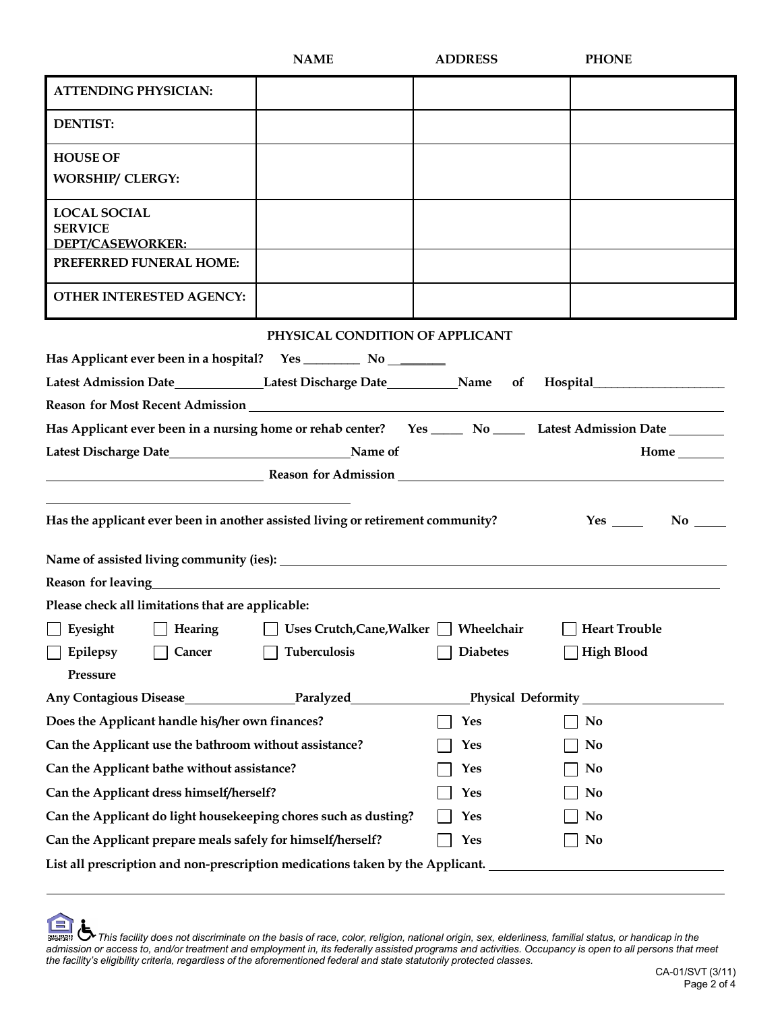|                                                                                                                                                                                                                                     | <b>NAME</b>                      | <b>ADDRESS</b>     | <b>PHONE</b>         |  |
|-------------------------------------------------------------------------------------------------------------------------------------------------------------------------------------------------------------------------------------|----------------------------------|--------------------|----------------------|--|
| <b>ATTENDING PHYSICIAN:</b>                                                                                                                                                                                                         |                                  |                    |                      |  |
| <b>DENTIST:</b>                                                                                                                                                                                                                     |                                  |                    |                      |  |
| <b>HOUSE OF</b><br><b>WORSHIP/ CLERGY:</b>                                                                                                                                                                                          |                                  |                    |                      |  |
| <b>LOCAL SOCIAL</b><br><b>SERVICE</b><br><b>DEPT/CASEWORKER:</b>                                                                                                                                                                    |                                  |                    |                      |  |
| PREFERRED FUNERAL HOME:                                                                                                                                                                                                             |                                  |                    |                      |  |
| <b>OTHER INTERESTED AGENCY:</b>                                                                                                                                                                                                     |                                  |                    |                      |  |
|                                                                                                                                                                                                                                     | PHYSICAL CONDITION OF APPLICANT  |                    |                      |  |
|                                                                                                                                                                                                                                     |                                  |                    |                      |  |
| Latest Admission Date______________Latest Discharge Date__________Name of Hospital__________________                                                                                                                                |                                  |                    |                      |  |
|                                                                                                                                                                                                                                     |                                  |                    |                      |  |
| Has Applicant ever been in a nursing home or rehab center? Yes ______ No ______ Latest Admission Date ________                                                                                                                      |                                  |                    |                      |  |
| Latest Discharge Date <b>Markeler Except Container Service Contains Container</b> Name of<br>Home ________                                                                                                                          |                                  |                    |                      |  |
| <b>Example 2018</b> Reason for Admission <b>CONSIDERING A SET A REAL PROPERTY AND REAL PROPERTY</b>                                                                                                                                 |                                  |                    |                      |  |
| Has the applicant ever been in another assisted living or retirement community?                                                                                                                                                     |                                  |                    | $Yes \_ No \_$       |  |
|                                                                                                                                                                                                                                     |                                  |                    |                      |  |
|                                                                                                                                                                                                                                     |                                  |                    |                      |  |
| Reason for leaving <b>Example 2018</b> and 2019 and 2019 and 2019 and 2019 and 2019 and 2019 and 2019 and 2019 and 2019 and 2019 and 2019 and 2019 and 2019 and 2019 and 2019 and 2019 and 2019 and 2019 and 2019 and 2019 and 2019 |                                  |                    |                      |  |
| Please check all limitations that are applicable:                                                                                                                                                                                   |                                  |                    |                      |  |
| Eyesight<br>Hearing                                                                                                                                                                                                                 | <b>Uses Crutch, Cane, Walker</b> | Wheelchair         | <b>Heart Trouble</b> |  |
| Epilepsy<br>Cancer                                                                                                                                                                                                                  | <b>Tuberculosis</b>              | <b>Diabetes</b>    | <b>High Blood</b>    |  |
| Pressure                                                                                                                                                                                                                            |                                  |                    |                      |  |
| <b>Any Contagious Disease</b>                                                                                                                                                                                                       | <b>Example 2 Paralyzed</b>       | Physical Deformity |                      |  |
| Does the Applicant handle his/her own finances?                                                                                                                                                                                     |                                  | Yes                | No                   |  |
| Can the Applicant use the bathroom without assistance?                                                                                                                                                                              |                                  | Yes                | No                   |  |
| Can the Applicant bathe without assistance?                                                                                                                                                                                         |                                  | Yes                | No                   |  |
| Can the Applicant dress himself/herself?                                                                                                                                                                                            |                                  | Yes                | No                   |  |
| Can the Applicant do light housekeeping chores such as dusting?                                                                                                                                                                     |                                  | Yes                | No                   |  |
| Can the Applicant prepare meals safely for himself/herself?                                                                                                                                                                         |                                  | <b>Yes</b>         | <b>No</b>            |  |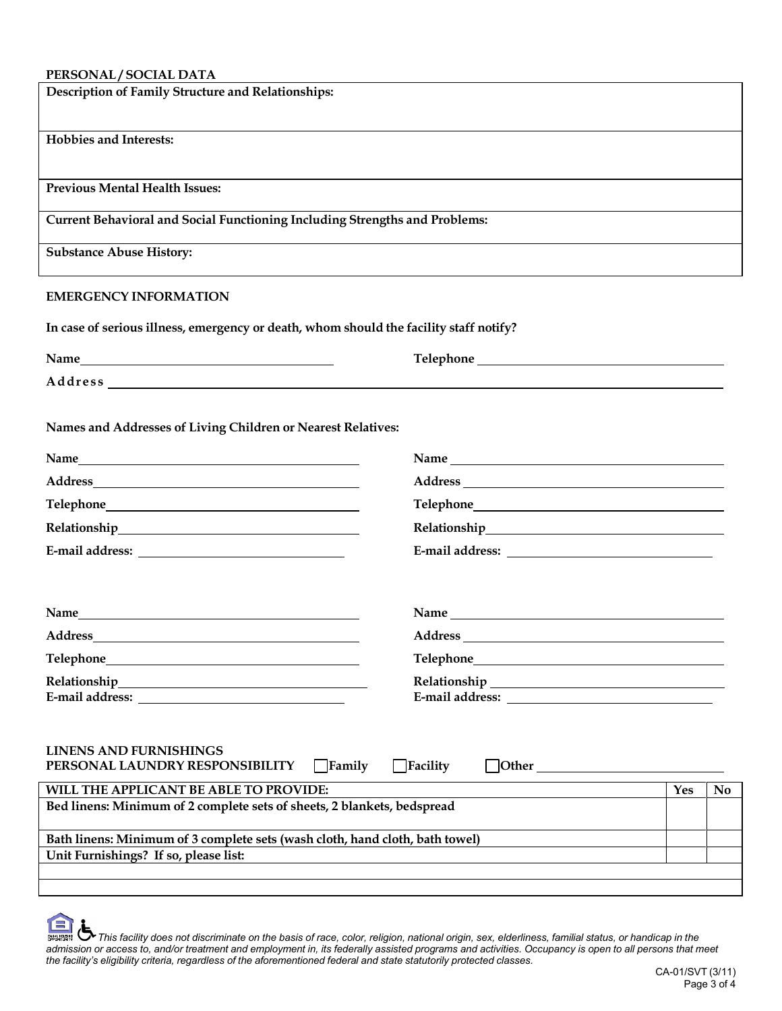## **PERSONAL / SOCIAL DATA**

| PERSONAL / SOCIAL DATA                                                                                                                  |                                                                                                                                                                                                                                                  |           |
|-----------------------------------------------------------------------------------------------------------------------------------------|--------------------------------------------------------------------------------------------------------------------------------------------------------------------------------------------------------------------------------------------------|-----------|
| Description of Family Structure and Relationships:                                                                                      |                                                                                                                                                                                                                                                  |           |
| <b>Hobbies and Interests:</b>                                                                                                           |                                                                                                                                                                                                                                                  |           |
| <b>Previous Mental Health Issues:</b>                                                                                                   |                                                                                                                                                                                                                                                  |           |
| <b>Current Behavioral and Social Functioning Including Strengths and Problems:</b>                                                      |                                                                                                                                                                                                                                                  |           |
| <b>Substance Abuse History:</b>                                                                                                         |                                                                                                                                                                                                                                                  |           |
| <b>EMERGENCY INFORMATION</b>                                                                                                            |                                                                                                                                                                                                                                                  |           |
| In case of serious illness, emergency or death, whom should the facility staff notify?                                                  |                                                                                                                                                                                                                                                  |           |
| Name                                                                                                                                    |                                                                                                                                                                                                                                                  |           |
|                                                                                                                                         |                                                                                                                                                                                                                                                  |           |
| Names and Addresses of Living Children or Nearest Relatives:                                                                            |                                                                                                                                                                                                                                                  |           |
|                                                                                                                                         |                                                                                                                                                                                                                                                  |           |
|                                                                                                                                         |                                                                                                                                                                                                                                                  |           |
|                                                                                                                                         |                                                                                                                                                                                                                                                  |           |
|                                                                                                                                         |                                                                                                                                                                                                                                                  |           |
|                                                                                                                                         |                                                                                                                                                                                                                                                  |           |
|                                                                                                                                         |                                                                                                                                                                                                                                                  |           |
|                                                                                                                                         |                                                                                                                                                                                                                                                  |           |
|                                                                                                                                         |                                                                                                                                                                                                                                                  |           |
| Relationship_<br><u> 1989 - Johann Stoff, deutscher Stoffen und der Stoffen und der Stoffen und der Stoffen und der Stoffen und der</u> |                                                                                                                                                                                                                                                  |           |
|                                                                                                                                         | E-mail address: North and South American Section 1986.                                                                                                                                                                                           |           |
| <b>LINENS AND FURNISHINGS</b><br>PERSONAL LAUNDRY RESPONSIBILITY Family                                                                 | $\Box$ Facility<br>Other Demonstration of the state of the state of the state of the state of the state of the state of the state of the state of the state of the state of the state of the state of the state of the state of the state of the |           |
| WILL THE APPLICANT BE ABLE TO PROVIDE:                                                                                                  | Yes                                                                                                                                                                                                                                              | <b>No</b> |
| Bed linens: Minimum of 2 complete sets of sheets, 2 blankets, bedspread                                                                 |                                                                                                                                                                                                                                                  |           |
| Bath linens: Minimum of 3 complete sets (wash cloth, hand cloth, bath towel)                                                            |                                                                                                                                                                                                                                                  |           |
| Unit Furnishings? If so, please list:                                                                                                   |                                                                                                                                                                                                                                                  |           |
|                                                                                                                                         |                                                                                                                                                                                                                                                  |           |